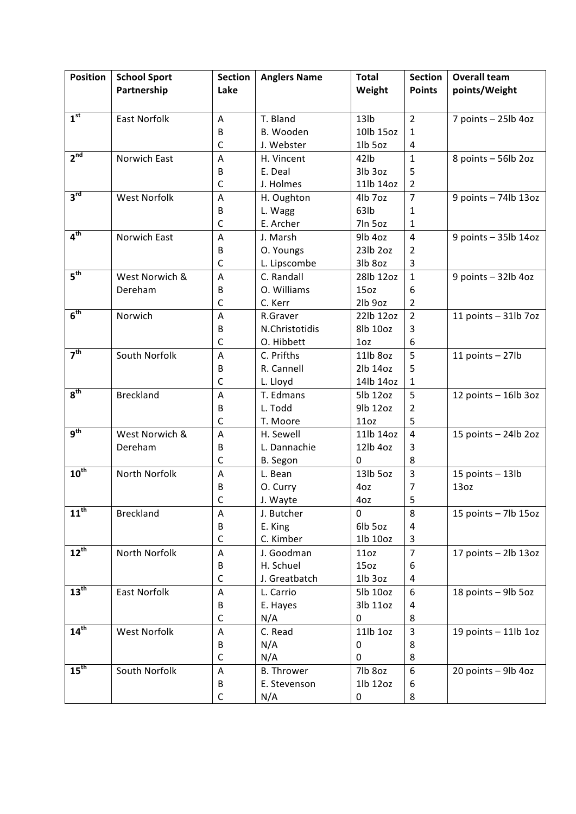| <b>Position</b>  | <b>School Sport</b> | <b>Section</b> | <b>Anglers Name</b> | <b>Total</b>     | <b>Section</b> | <b>Overall team</b>    |
|------------------|---------------------|----------------|---------------------|------------------|----------------|------------------------|
|                  | Partnership         | Lake           |                     | Weight           | <b>Points</b>  | points/Weight          |
|                  |                     |                |                     |                  |                |                        |
| 1 <sup>st</sup>  | East Norfolk        | A              | T. Bland            | 13 <sub>lb</sub> | $\overline{2}$ | 7 points - 25lb 4oz    |
|                  |                     | B              | B. Wooden           | 10lb 15oz        | 1              |                        |
|                  |                     | C              | J. Webster          | 1lb 5oz          | 4              |                        |
| 2 <sup>nd</sup>  | Norwich East        | A              | H. Vincent          | 42lb             | $\mathbf{1}$   | 8 points - 56lb 2oz    |
|                  |                     | B              | E. Deal             | 3lb 3oz          | 5              |                        |
|                  |                     | $\mathsf C$    | J. Holmes           | 11lb 14oz        | $\overline{2}$ |                        |
| $3^{\text{rd}}$  | <b>West Norfolk</b> | A              | H. Oughton          | 4lb 7oz          | $\overline{7}$ | 9 points - 74lb 13oz   |
|                  |                     | В              | L. Wagg             | 63lb             | 1              |                        |
|                  |                     | $\mathsf C$    | E. Archer           | 7ln 5oz          | 1              |                        |
| 4 <sup>th</sup>  | Norwich East        | A              | J. Marsh            | 9lb 4oz          | $\overline{4}$ | 9 points - 35lb 14oz   |
|                  |                     | В              | O. Youngs           | 23lb 2oz         | 2              |                        |
|                  |                     | C              | L. Lipscombe        | 3lb 8oz          | 3              |                        |
| 5 <sup>th</sup>  | West Norwich &      | A              | C. Randall          | 28lb 12oz        | $\mathbf{1}$   | 9 points - 32lb 4oz    |
|                  | Dereham             | В              | O. Williams         | 15 <sub>oz</sub> | 6              |                        |
|                  |                     | C              | C. Kerr             | 2lb 9oz          | $\overline{2}$ |                        |
| 6 <sup>th</sup>  | Norwich             | $\overline{A}$ | R.Graver            | 22lb 12oz        | $\overline{2}$ | 11 points $-31$ lb 7oz |
|                  |                     | В              | N.Christotidis      | 8lb 10oz         | 3              |                        |
|                  |                     | C              | O. Hibbett          | 1 <sub>oz</sub>  | 6              |                        |
| 7 <sup>th</sup>  | South Norfolk       | A              | C. Prifths          | 11lb 8oz         | 5              | 11 points $-$ 27lb     |
|                  |                     | В              | R. Cannell          | 2lb 14oz         | 5              |                        |
|                  |                     | $\mathsf C$    | L. Lloyd            | 14lb 14oz        | 1              |                        |
| 8 <sup>th</sup>  | <b>Breckland</b>    | A              | T. Edmans           | 5lb 12oz         | 5              | 12 points - 16lb 3oz   |
|                  |                     | В              | L. Todd             | 9lb 12oz         | 2              |                        |
|                  |                     | $\mathsf C$    | T. Moore            | 11oz             | 5              |                        |
| $q^{th}$         | West Norwich &      | Α              | H. Sewell           | 11lb 14oz        | $\overline{4}$ | 15 points - 24lb 2oz   |
|                  | Dereham             | В              | L. Dannachie        | 12lb 4oz         | 3              |                        |
|                  |                     | C              | B. Segon            | $\Omega$         | 8              |                        |
| 10 <sup>th</sup> | North Norfolk       | A              | L. Bean             | 13lb 5oz         | $\overline{3}$ | 15 points $-$ 13lb     |
|                  |                     | В              | O. Curry            | 4oz              | 7              | 13oz                   |
|                  |                     | C              | J. Wayte            | 4oz              | 5              |                        |
| $11^{th}$        | <b>Breckland</b>    | A              | J. Butcher          | $\Omega$         | 8              | 15 points $-$ 7lb 15oz |
|                  |                     | B              | E. King             | 6lb 5oz          | 4              |                        |
|                  |                     | $\mathsf C$    | C. Kimber           | 1lb 10oz         | 3              |                        |
| $12^{th}$        | North Norfolk       | A              | J. Goodman          | 110z             | $\overline{7}$ | 17 points - 2lb 13oz   |
|                  |                     | B              | H. Schuel           | 15 <sub>oz</sub> | 6              |                        |
|                  |                     | $\mathsf C$    | J. Greatbatch       | 1lb 3oz          | 4              |                        |
| 13 <sup>th</sup> | East Norfolk        | A              | L. Carrio           | 5lb 10oz         | 6              | 18 points - 9lb 5oz    |
|                  |                     | В              | E. Hayes            | 3lb 11oz         | 4              |                        |
| 14 <sup>th</sup> |                     | $\mathsf C$    | N/A                 | 0                | 8              |                        |
|                  | West Norfolk        | A              | C. Read             | 11lb 1oz         | 3              | 19 points $-$ 11lb 1oz |
|                  |                     | В              | N/A                 | 0                | 8              |                        |
| 15 <sup>th</sup> |                     | $\mathsf C$    | N/A                 | 0                | 8              |                        |
|                  | South Norfolk       | A              | <b>B.</b> Thrower   | 7lb 8oz          | 6              | 20 points - 9lb 4oz    |
|                  |                     | В              | E. Stevenson        | 1lb 12oz         | 6              |                        |
|                  |                     | $\mathsf C$    | N/A                 | $\pmb{0}$        | 8              |                        |